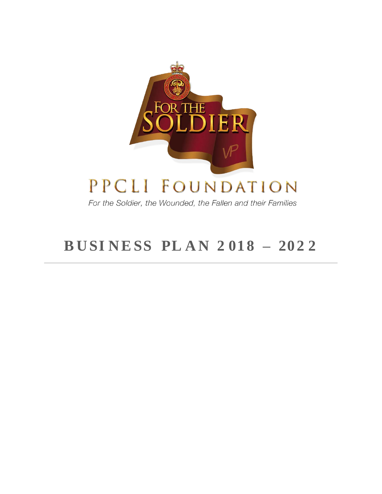

# PPCLI FOUNDATION

For the Soldier, the Wounded, the Fallen and their Families

# **B U SI N ESS PL A N 2 01 8 – 20 2 2**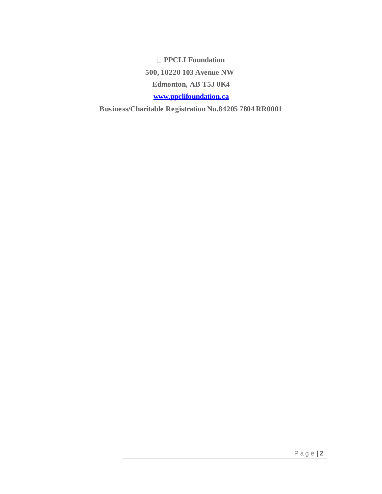**PPCLI Foundation 500, 10220 103 Avenue NW Edmonton, AB T5J 0K4 [www.ppclifoundation.ca](http://www.ppclifoundation.ca/)**

**Business/Charitable Registration No.84205 7804 RR0001**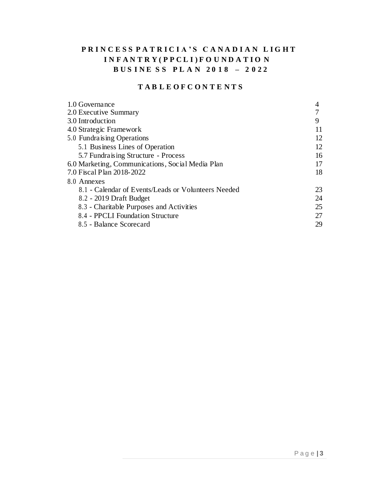## PRINCESS PATRICIA'S CANADIAN LIGHT **I N F A N T R Y ( P P C L I ) F O U N D A T I O N B U S I N E S S P L A N 2 0 1 8 – 2 0 2 2**

## **T A B L E O F C O N T E N T S**

| 1.0 Governance                                      |    |
|-----------------------------------------------------|----|
| 2.0 Executive Summary                               |    |
| 3.0 Introduction                                    | 9  |
| 4.0 Strategic Framework                             | 11 |
| 5.0 Fundraising Operations                          | 12 |
| 5.1 Business Lines of Operation                     | 12 |
| 5.7 Fundraising Structure - Process                 | 16 |
| 6.0 Marketing, Communications, Social Media Plan    | 17 |
| 7.0 Fiscal Plan 2018-2022                           | 18 |
| 8.0 Annexes                                         |    |
| 8.1 - Calendar of Events/Leads or Volunteers Needed | 23 |
| 8.2 - 2019 Draft Budget                             | 24 |
| 8.3 - Charitable Purposes and Activities            | 25 |
| 8.4 - PPCLI Foundation Structure                    | 27 |
| 8.5 - Balance Scorecard                             | 29 |
|                                                     |    |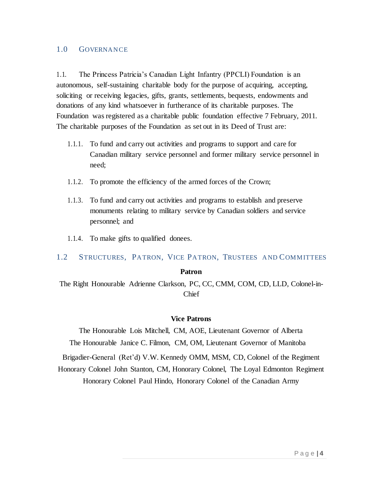#### 1.0 GOVERNANCE

1.1. The Princess Patricia's Canadian Light Infantry (PPCLI) Foundation is an autonomous, self-sustaining charitable body for the purpose of acquiring, accepting, soliciting or receiving legacies, gifts, grants, settlements, bequests, endowments and donations of any kind whatsoever in furtherance of its charitable purposes. The Foundation was registered as a charitable public foundation effective 7 February, 2011. The charitable purposes of the Foundation as set out in its Deed of Trust are:

- 1.1.1. To fund and carry out activities and programs to support and care for Canadian military service personnel and former military service personnel in need;
- 1.1.2. To promote the efficiency of the armed forces of the Crown;
- 1.1.3. To fund and carry out activities and programs to establish and preserve monuments relating to military service by Canadian soldiers and service personnel; and
- 1.1.4. To make gifts to qualified donees.

#### 1.2 STRUCTURES, PATRON, VICE PATRON, TRUSTEES AND COMMITTEES

#### **Patron**

The Right Honourable Adrienne Clarkson, PC, CC, CMM, COM, CD, LLD, Colonel-in-Chief

#### **Vice Patrons**

The Honourable Lois Mitchell, CM, AOE, Lieutenant Governor of Alberta The Honourable Janice C. Filmon, CM, OM, Lieutenant Governor of Manitoba

Brigadier-General (Ret'd) V.W. Kennedy OMM, MSM, CD, Colonel of the Regiment

Honorary Colonel John Stanton, CM, Honorary Colonel, The Loyal Edmonton Regiment

Honorary Colonel Paul Hindo, Honorary Colonel of the Canadian Army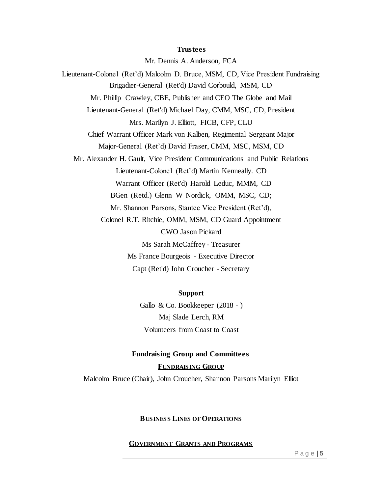#### **Trustees**

Mr. Dennis A. Anderson, FCA Lieutenant-Colonel (Ret'd) Malcolm D. Bruce, MSM, CD, Vice President Fundraising Brigadier-General (Ret'd) David Corbould, MSM, CD Mr. Phillip Crawley, CBE, Publisher and CEO The Globe and Mail Lieutenant-General (Ret'd) Michael Day, CMM, MSC, CD, President Mrs. Marilyn J. Elliott, FICB, CFP, CLU Chief Warrant Officer Mark von Kalben, Regimental Sergeant Major Major-General (Ret'd) David Fraser, CMM, MSC, MSM, CD Mr. Alexander H. Gault, Vice President Communications and Public Relations Lieutenant-Colonel (Ret'd) Martin Kenneally. CD Warrant Officer (Ret'd) Harold Leduc, MMM, CD BGen (Retd.) Glenn W Nordick, OMM, MSC, CD; Mr. Shannon Parsons, Stantec Vice President (Ret'd), Colonel R.T. Ritchie, OMM, MSM, CD Guard Appointment CWO Jason Pickard Ms Sarah McCaffrey - Treasurer Ms France Bourgeois - Executive Director Capt (Ret'd) John Croucher - Secretary

#### **Support**

Gallo & Co. Bookkeeper (2018 - ) Maj Slade Lerch, RM Volunteers from Coast to Coast

# **Fundraising Group and Committees FUNDRAISING GROUP**

Malcolm Bruce (Chair), John Croucher, Shannon Parsons Marilyn Elliot

#### **BUSINESS LINES OF OPERATIONS**

#### **GOVERNMENT GRANTS AND PROGRAMS**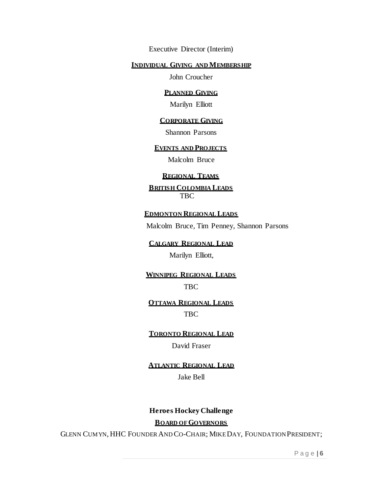Executive Director (Interim)

#### **INDIVIDUAL GIVING AND MEMBERSHIP**

John Croucher

#### **PLANNED GIVING**

Marilyn Elliott

#### **CORPORATE GIVING**

Shannon Parsons

#### **EVENTS AND PROJECTS**

Malcolm Bruce

#### **REGIONAL TEAMS**

**BRITISH COLOMBIA LEADS** TBC

**EDMONTON REGIONAL LEADS**

Malcolm Bruce, Tim Penney, Shannon Parsons

**CALGARY REGIONAL LEAD**

Marilyn Elliott,

**WINNIPEG REGIONAL LEADS** TBC

**OTTAWA REGIONAL LEADS** TBC

**TORONTO REGIONAL LEAD**

David Fraser

**ATLANTIC REGIONAL LEAD** Jake Bell

#### **Heroes Hockey Challenge**

**BOARD OF GOVERNORS**

GLENN CUMYN, HHC FOUNDER AND CO-CHAIR; MIKE DAY, FOUNDATION PRESIDENT;

P a g e |**<sup>6</sup>**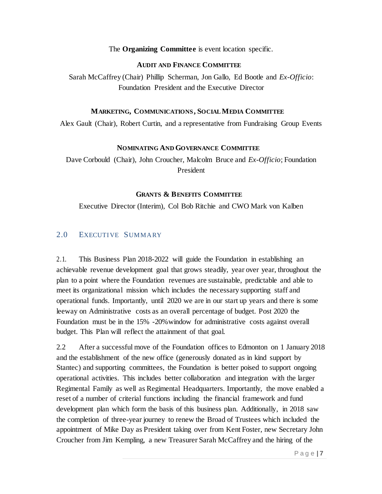#### The **Organizing Committee** is event location specific.

#### **AUDIT AND FINANCE COMMITTEE**

Sarah McCaffrey (Chair) Phillip Scherman, Jon Gallo, Ed Bootle and *Ex-Officio*: Foundation President and the Executive Director

#### **MARKETING, COMMUNICATIONS, SOCIAL MEDIA COMMITTEE**

Alex Gault (Chair), Robert Curtin, and a representative from Fundraising Group Events

#### **NOMINATING AND GOVERNANCE COMMITTEE**

Dave Corbould (Chair), John Croucher, Malcolm Bruce and *Ex-Officio*; Foundation President

#### **GRANTS & BENEFITS COMMITTEE**

Executive Director (Interim), Col Bob Ritchie and CWO Mark von Kalben

#### 2.0 EXECUTIVE SUMMARY

2.1. This Business Plan 2018-2022 will guide the Foundation in establishing an achievable revenue development goal that grows steadily, year over year, throughout the plan to a point where the Foundation revenues are sustainable, predictable and able to meet its organizational mission which includes the necessary supporting staff and operational funds. Importantly, until 2020 we are in our start up years and there is some leeway on Administrative costs as an overall percentage of budget. Post 2020 the Foundation must be in the 15% -20%window for administrative costs against overall budget. This Plan will reflect the attainment of that goal.

2.2 After a successful move of the Foundation offices to Edmonton on 1 January 2018 and the establishment of the new office (generously donated as in kind support by Stantec) and supporting committees, the Foundation is better poised to support ongoing operational activities. This includes better collaboration and integration with the larger Regimental Family as well as Regimental Headquarters. Importantly, the move enabled a reset of a number of criterial functions including the financial framework and fund development plan which form the basis of this business plan. Additionally, in 2018 saw the completion of three-year journey to renew the Broad of Trustees which included the appointment of Mike Day as President taking over from Kent Foster, new Secretary John Croucher from Jim Kempling, a new Treasurer Sarah McCaffrey and the hiring of the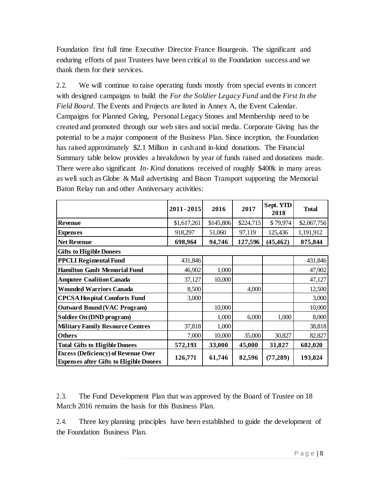Foundation first full time Executive Director France Bourgeois. The significant and enduring efforts of past Trustees have been critical to the Foundation success and we thank them for their services.

2.2. We will continue to raise operating funds mostly from special events in concert with designed campaigns to build the *For the Soldier Legacy Fund* and the *First In the Field Board*. The Events and Projects are listed in Annex A, the Event Calendar. Campaigns for Planned Giving, Personal Legacy Stones and Membership need to be created and promoted through our web sites and social media. Corporate Giving has the potential to be a major component of the Business Plan. Since inception, the Foundation has raised approximately \$2.1 Million in cash and in-kind donations. The Financial Summary table below provides a breakdown by year of funds raised and donations made. There were also significant *In- Kind* donations received of roughly \$400k in many areas as well such as Globe & Mail advertising and Bison Transport supporting the Memorial Baton Relay run and other Anniversary activities:

|                                                                                              | 2011-2015   | 2016      | 2017      | Sept. YTD<br>2018 | <b>Total</b> |
|----------------------------------------------------------------------------------------------|-------------|-----------|-----------|-------------------|--------------|
| <b>Revenue</b>                                                                               | \$1,617,261 | \$145,806 | \$224,715 | \$79,974          | \$2,067,756  |
| <b>Expenses</b>                                                                              | 918,297     | 51,060    | 97,119    | 125,436           | 1,191,912    |
| <b>Net Revenue</b>                                                                           | 698,964     | 94,746    | 127,596   | (45, 462)         | 875,844      |
| <b>Gifts to Eligible Donees</b>                                                              |             |           |           |                   |              |
| <b>PPCLI Regimental Fund</b>                                                                 | 431,846     |           |           |                   | 431,846      |
| <b>Hamilton Gault Memorial Fund</b>                                                          | 46,902      | 1,000     |           |                   | 47,902       |
| <b>Amputee Coalition Canada</b>                                                              | 37,127      | 10,000    |           |                   | 47,127       |
| <b>Wounded Warriors Canada</b>                                                               | 8,500       |           | 4,000     |                   | 12,500       |
| <b>CPCSA Hospital Comforts Fund</b>                                                          | 3,000       |           |           |                   | 3,000        |
| <b>Outward Bound (VAC Program)</b>                                                           |             | 10,000    |           |                   | 10,000       |
| Soldier On (DND program)                                                                     |             | 1,000     | 6,000     | 1,000             | 8,000        |
| <b>Military Family Resource Centres</b>                                                      | 37,818      | 1,000     |           |                   | 38,818       |
| <b>Others</b>                                                                                | 7,000       | 10,000    | 35,000    | 30,827            | 82,827       |
| <b>Total Gifts to Eligible Donees</b>                                                        | 572,193     | 33,000    | 45,000    | 31,827            | 682,020      |
| <b>Excess (Deficiency) of Revenue Over</b><br><b>Expenses after Gifts to Eligible Donees</b> | 126,771     | 61,746    | 82,596    | (77, 289)         | 193,824      |

2.3. The Fund Development Plan that was approved by the Board of Trustee on 18 March 2016 remains the basis for this Business Plan.

2.4. Three key planning principles have been established to guide the development of the Foundation Business Plan.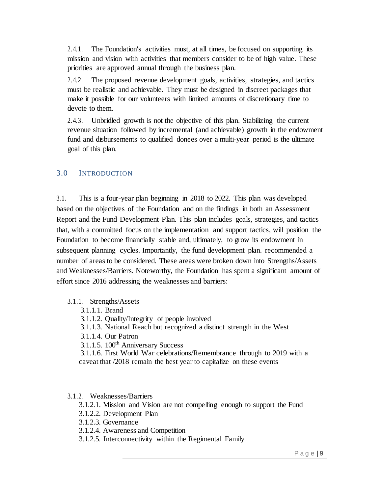2.4.1. The Foundation's activities must, at all times, be focused on supporting its mission and vision with activities that members consider to be of high value. These priorities are approved annual through the business plan.

2.4.2. The proposed revenue development goals, activities, strategies, and tactics must be realistic and achievable. They must be designed in discreet packages that make it possible for our volunteers with limited amounts of discretionary time to devote to them.

2.4.3. Unbridled growth is not the objective of this plan. Stabilizing the current revenue situation followed by incremental (and achievable) growth in the endowment fund and disbursements to qualified donees over a multi-year period is the ultimate goal of this plan.

## 3.0 INTRODUCTION

3.1. This is a four-year plan beginning in 2018 to 2022. This plan was developed based on the objectives of the Foundation and on the findings in both an Assessment Report and the Fund Development Plan. This plan includes goals, strategies, and tactics that, with a committed focus on the implementation and support tactics, will position the Foundation to become financially stable and, ultimately, to grow its endowment in subsequent planning cycles. Importantly, the fund development plan. recommended a number of areas to be considered. These areas were broken down into Strengths/Assets and Weaknesses/Barriers. Noteworthy, the Foundation has spent a significant amount of effort since 2016 addressing the weaknesses and barriers:

#### 3.1.1. Strengths/Assets

- 3.1.1.1. Brand
- 3.1.1.2. Quality/Integrity of people involved
- 3.1.1.3. National Reach but recognized a distinct strength in the West
- 3.1.1.4. Our Patron
- $3.1.1.5. 100<sup>th</sup>$  Anniversary Success

3.1.1.6. First World War celebrations/Remembrance through to 2019 with a caveat that /2018 remain the best year to capitalize on these events

#### 3.1.2. Weaknesses/Barriers

3.1.2.1. Mission and Vision are not compelling enough to support the Fund

- 3.1.2.2. Development Plan
- 3.1.2.3. Governance
- 3.1.2.4. Awareness and Competition
- 3.1.2.5. Interconnectivity within the Regimental Family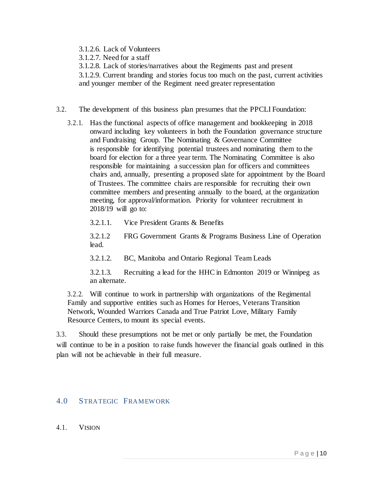3.1.2.6. Lack of Volunteers

3.1.2.7. Need for a staff

3.1.2.8. Lack of stories/narratives about the Regiments past and present

3.1.2.9. Current branding and stories focus too much on the past, current activities and younger member of the Regiment need greater representation

- 3.2. The development of this business plan presumes that the PPCLI Foundation:
	- 3.2.1. Has the functional aspects of office management and bookkeeping in 2018 onward including key volunteers in both the Foundation governance structure and Fundraising Group. The Nominating & Governance Committee is responsible for identifying potential trustees and nominating them to the board for election for a three year term. The Nominating Committee is also responsible for maintaining a succession plan for officers and committees chairs and, annually, presenting a proposed slate for appointment by the Board of Trustees. The committee chairs are responsible for recruiting their own committee members and presenting annually to the board, at the organization meeting, for approval/information. Priority for volunteer recruitment in 2018/19 will go to:

3.2.1.1. Vice President Grants & Benefits

3.2.1.2 FRG Government Grants & Programs Business Line of Operation lead.

3.2.1.2. BC, Manitoba and Ontario Regional Team Leads

3.2.1.3. Recruiting a lead for the HHC in Edmonton 2019 or Winnipeg as an alternate.

3.2.2. Will continue to work in partnership with organizations of the Regimental Family and supportive entities such as Homes for Heroes, Veterans Transition Network, Wounded Warriors Canada and True Patriot Love, Military Family Resource Centers, to mount its special events.

3.3. Should these presumptions not be met or only partially be met, the Foundation will continue to be in a position to raise funds however the financial goals outlined in this plan will not be achievable in their full measure.

#### 4.0 STRATEGIC FRAMEW ORK

4.1. VISION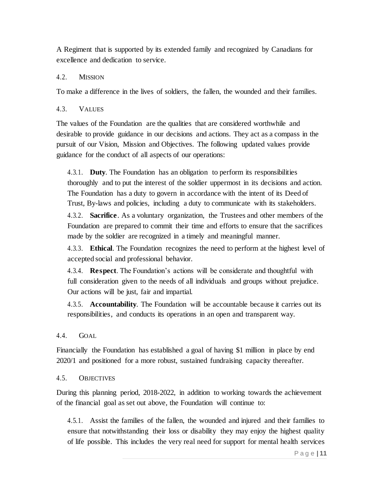A Regiment that is supported by its extended family and recognized by Canadians for excellence and dedication to service.

### 4.2. MISSION

To make a difference in the lives of soldiers, the fallen, the wounded and their families.

### 4.3. VALUES

The values of the Foundation are the qualities that are considered worthwhile and desirable to provide guidance in our decisions and actions. They act as a compass in the pursuit of our Vision, Mission and Objectives. The following updated values provide guidance for the conduct of all aspects of our operations:

4.3.1. **Duty**. The Foundation has an obligation to perform its responsibilities thoroughly and to put the interest of the soldier uppermost in its decisions and action. The Foundation has a duty to govern in accordance with the intent of its Deed of Trust, By-laws and policies, including a duty to communicate with its stakeholders.

4.3.2. **Sacrifice**. As a voluntary organization, the Trustees and other members of the Foundation are prepared to commit their time and efforts to ensure that the sacrifices made by the soldier are recognized in a timely and meaningful manner.

4.3.3. **Ethical**. The Foundation recognizes the need to perform at the highest level of accepted social and professional behavior.

4.3.4. **Respect**. The Foundation's actions will be considerate and thoughtful with full consideration given to the needs of all individuals and groups without prejudice. Our actions will be just, fair and impartial.

4.3.5. **Accountability**. The Foundation will be accountable because it carries out its responsibilities, and conducts its operations in an open and transparent way.

#### 4.4. GOAL

Financially the Foundation has established a goal of having \$1 million in place by end 2020/1 and positioned for a more robust, sustained fundraising capacity thereafter.

#### 4.5. OBJECTIVES

During this planning period, 2018-2022, in addition to working towards the achievement of the financial goal as set out above, the Foundation will continue to:

4.5.1. Assist the families of the fallen, the wounded and injured and their families to ensure that notwithstanding their loss or disability they may enjoy the highest quality of life possible. This includes the very real need for support for mental health services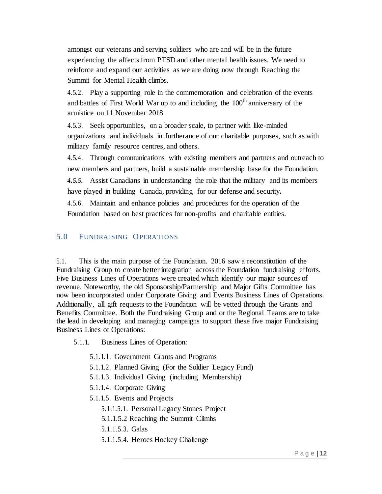amongst our veterans and serving soldiers who are and will be in the future experiencing the affects from PTSD and other mental health issues. We need to reinforce and expand our activities as we are doing now through Reaching the Summit for Mental Health climbs.

4.5.2. Play a supporting role in the commemoration and celebration of the events and battles of First World War up to and including the 100<sup>th</sup> anniversary of the armistice on 11 November 2018

4.5.3. Seek opportunities, on a broader scale, to partner with like-minded organizations and individuals in furtherance of our charitable purposes, such as with military family resource centres, and others.

4.5.4. Through communications with existing members and partners and outreach to new members and partners, build a sustainable membership base for the Foundation.

*4.5.5.* Assist Canadians in understanding the role that the military and its members have played in building Canada, providing for our defense and security*.*

4.5.6. Maintain and enhance policies and procedures for the operation of the Foundation based on best practices for non-profits and charitable entities.

## 5.0 FUNDRAISING OPERATIONS

5.1. This is the main purpose of the Foundation. 2016 saw a reconstitution of the Fundraising Group to create better integration across the Foundation fundraising efforts. Five Business Lines of Operations were created which identify our major sources of revenue. Noteworthy, the old Sponsorship/Partnership and Major Gifts Committee has now been incorporated under Corporate Giving and Events Business Lines of Operations. Additionally, all gift requests to the Foundation will be vetted through the Grants and Benefits Committee. Both the Fundraising Group and or the Regional Teams are to take the lead in developing and managing campaigns to support these five major Fundraising Business Lines of Operations:

5.1.1. Business Lines of Operation:

- 5.1.1.1. Government Grants and Programs
- 5.1.1.2. Planned Giving (For the Soldier Legacy Fund)
- 5.1.1.3. Individual Giving (including Membership)
- 5.1.1.4. Corporate Giving
- 5.1.1.5. Events and Projects
	- 5.1.1.5.1. Personal Legacy Stones Project
	- 5.1.1.5.2 Reaching the Summit Climbs
	- 5.1.1.5.3. Galas
	- 5.1.1.5.4. Heroes Hockey Challenge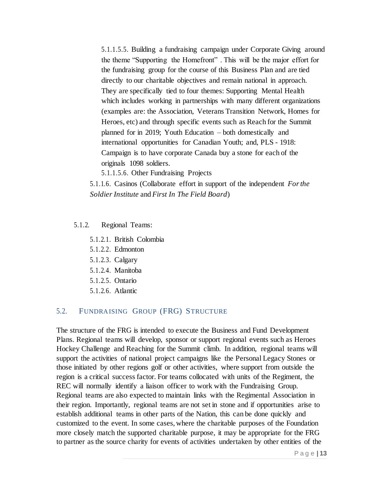5.1.1.5.5. Building a fundraising campaign under Corporate Giving around the theme "Supporting the Homefront" . This will be the major effort for the fundraising group for the course of this Business Plan and are tied directly to our charitable objectives and remain national in approach. They are specifically tied to four themes: Supporting Mental Health which includes working in partnerships with many different organizations (examples are: the Association, Veterans Transition Network, Homes for Heroes, etc) and through specific events such as Reach for the Summit planned for in 2019; Youth Education – both domestically and international opportunities for Canadian Youth; and, PLS - 1918: Campaign is to have corporate Canada buy a stone for each of the originals 1098 soldiers.

5.1.1.5.6. Other Fundraising Projects

5.1.1.6. Casinos (Collaborate effort in support of the independent *Forthe Soldier Institute* and *First In The Field Board*)

#### 5.1.2. Regional Teams:

5.1.2.1. British Colombia

- 5.1.2.2. Edmonton
- 5.1.2.3. Calgary
- 5.1.2.4. Manitoba
- 5.1.2.5. Ontario
- 5.1.2.6. Atlantic

#### 5.2. FUNDRAISING GROUP (FRG) STRUCTURE

The structure of the FRG is intended to execute the Business and Fund Development Plans. Regional teams will develop, sponsor or support regional events such as Heroes Hockey Challenge and Reaching for the Summit climb. In addition, regional teams will support the activities of national project campaigns like the Personal Legacy Stones or those initiated by other regions golf or other activities, where support from outside the region is a critical success factor. For teams collocated with units of the Regiment, the REC will normally identify a liaison officer to work with the Fundraising Group. Regional teams are also expected to maintain links with the Regimental Association in their region. Importantly, regional teams are not set in stone and if opportunities arise to establish additional teams in other parts of the Nation, this can be done quickly and customized to the event. In some cases, where the charitable purposes of the Foundation more closely match the supported charitable purpose, it may be appropriate for the FRG to partner as the source charity for events of activities undertaken by other entities of the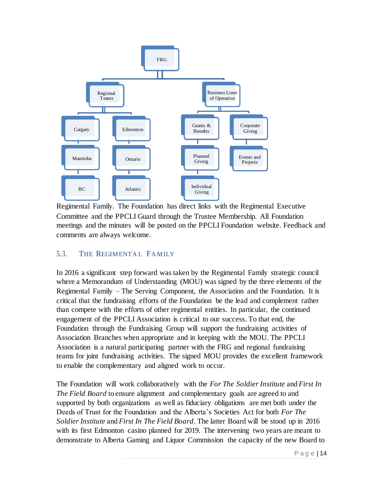

Regimental Family. The Foundation has direct links with the Regimental Executive Committee and the PPCLI Guard through the Trustee Membership. All Foundation meetings and the minutes will be posted on the PPCLI Foundation website. Feedback and comments are always welcome.

#### 5.3. THE REGIMENTAL FAMILY

In 2016 a significant step forward was taken by the Regimental Family strategic council where a Memorandum of Understanding (MOU) was signed by the three elements of the Regimental Family – The Serving Component, the Association and the Foundation. It is critical that the fundraising efforts of the Foundation be the lead and complement rather than compete with the efforts of other regimental entities. In particular, the continued engagement of the PPCLI Association is critical to our success. To that end, the Foundation through the Fundraising Group will support the fundraising activities of Association Branches when appropriate and in keeping with the MOU. The PPCLI Association is a natural participating partner with the FRG and regional fundraising teams for joint fundraising activities. The signed MOU provides the excellent framework to enable the complementary and aligned work to occur.

The Foundation will work collaboratively with the *For The Soldier Institute* and *First In The Field Board* to ensure alignment and complementary goals are agreed to and supported by both organizations as well as fiduciary obligations are met both under the Deeds of Trust for the Foundation and the Alberta's Societies Act for both *For The Soldier Institute* and *First In The Field Board*. The latter Board will be stood up in 2016 with its first Edmonton casino planned for 2019. The intervening two years are meant to demonstrate to Alberta Gaming and Liquor Commission the capacity of the new Board to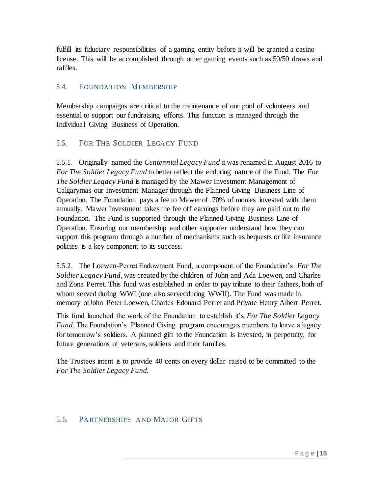fulfill its fiduciary responsibilities of a gaming entity before it will be granted a casino license. This will be accomplished through other gaming events such as 50/50 draws and raffles.

## 5.4. FOUNDATION MEMBERSHIP

Membership campaigns are critical to the maintenance of our pool of volunteers and essential to support our fundraising efforts. This function is managed through the Individual Giving Business of Operation.

## 5.5. FOR THE SOLDIER LEGACY FUND

5.5.1. Originally named the *Centennial Legacy Fund* it was renamed in August 2016 to *For The Soldier Legacy Fund* to better reflect the enduring nature of the Fund. The *For The Soldier Legacy Fund* is managed by the Mawer Investment Management of Calgarymas our Investment Manager through the Planned Giving Business Line of Operation. The Foundation pays a fee to Mawer of .70% of monies invested with them annually. Mawer Investment takes the fee off earnings before they are paid out to the Foundation. The Fund is supported through the Planned Giving Business Line of Operation. Ensuring our membership and other supporter understand how they can support this program through a number of mechanisms such as bequests or life insurance policies is a key component to its success.

5.5.2. The Loewen-Perret Endowment Fund, a component of the Foundation's *For The Soldier Legacy Fund*, was created by the children of John and Ada Loewen, and Charles and Zona Perret. This fund was established in order to pay tribute to their fathers, both of whom served during WWI (one also servedduring WWII). The Fund was made in memory ofJohn Peter Loewen, Charles Edouard Perret and Private Henry Albert Perret.

This fund launched the work of the Foundation to establish it's *For The Soldier Legacy Fund*. The Foundation's Planned Giving program encourages members to leave a legacy for tomorrow's soldiers. A planned gift to the Foundation is invested, in perpetuity, for future generations of veterans, soldiers and their families.

The Trustees intent is to provide 40 cents on every dollar raised to be committed to the *For The Soldier Legacy Fund.*

## 5.6. PARTNERSHIPS AND MAJOR GIFTS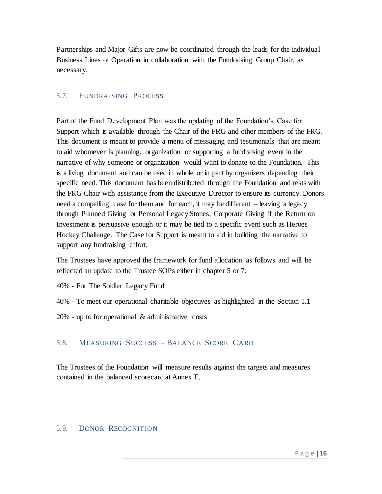Partnerships and Major Gifts are now be coordinated through the leads for the individual Business Lines of Operation in collaboration with the Fundraising Group Chair, as necessary.

#### 5.7. FUNDRAISING PROCESS

Part of the Fund Development Plan was the updating of the Foundation's Case for Support which is available through the Chair of the FRG and other members of the FRG. This document is meant to provide a menu of messaging and testimonials that are meant to aid whomever is planning, organization or supporting a fundraising event in the narrative of why someone or organization would want to donate to the Foundation. This is a living document and can be used in whole or in part by organizers depending their specific need. This document has been distributed through the Foundation and rests with the FRG Chair with assistance from the Executive Director to ensure its currency. Donors need a compelling case for them and for each, it may be different – leaving a legacy through Planned Giving or Personal Legacy Stones, Corporate Giving if the Return on Investment is persuasive enough or it may be tied to a specific event such as Heroes Hockey Challenge. The Case for Support is meant to aid in building the narrative to support any fundraising effort.

The Trustees have approved the framework for fund allocation as follows and will be reflected an update to the Trustee SOPs either in chapter 5 or 7:

- 40% For The Soldier Legacy Fund
- 40% To meet our operational charitable objectives as highlighted in the Section 1.1
- 20% up to for operational & administrative costs

## 5.8. MEASURING SUCCESS – BALANCE SCORE CARD

The Trustees of the Foundation will measure results against the targets and measures contained in the balanced scorecard at Annex E.

#### 5.9. DONOR RECOGNIT ION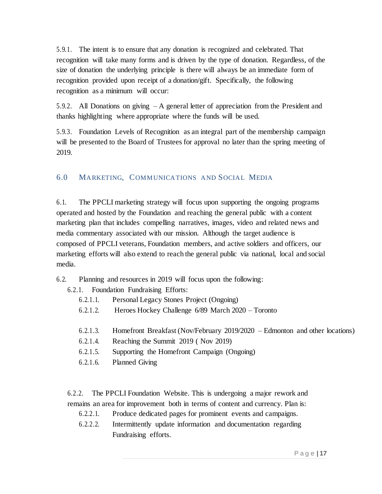5.9.1. The intent is to ensure that any donation is recognized and celebrated. That recognition will take many forms and is driven by the type of donation. Regardless, of the size of donation the underlying principle is there will always be an immediate form of recognition provided upon receipt of a donation/gift. Specifically, the following recognition as a minimum will occur:

5.9.2. All Donations on giving – A general letter of appreciation from the President and thanks highlighting where appropriate where the funds will be used.

5.9.3. Foundation Levels of Recognition as an integral part of the membership campaign will be presented to the Board of Trustees for approval no later than the spring meeting of 2019.

## 6.0 MARKETING, COMMUNICATIONS AND SOCIAL MEDIA

6.1. The PPCLI marketing strategy will focus upon supporting the ongoing programs operated and hosted by the Foundation and reaching the general public with a content marketing plan that includes compelling narratives, images, video and related news and media commentary associated with our mission. Although the target audience is composed of PPCLI veterans, Foundation members, and active soldiers and officers, our marketing efforts will also extend to reach the general public via national, local and social media.

6.2. Planning and resources in 2019 will focus upon the following:

- 6.2.1. Foundation Fundraising Efforts:
	- 6.2.1.1. Personal Legacy Stones Project (Ongoing)
	- 6.2.1.2. Heroes Hockey Challenge 6/89 March 2020 Toronto
	- 6.2.1.3. Homefront Breakfast (Nov/February 2019/2020 Edmonton and other locations)
	- 6.2.1.4. Reaching the Summit 2019 ( Nov 2019)
	- 6.2.1.5. Supporting the Homefront Campaign (Ongoing)
	- 6.2.1.6. Planned Giving

6.2.2. The PPCLI Foundation Website. This is undergoing a major rework and remains an area for improvement both in terms of content and currency. Plan is:

- 6.2.2.1. Produce dedicated pages for prominent events and campaigns.
- 6.2.2.2. Intermittently update information and documentation regarding Fundraising efforts.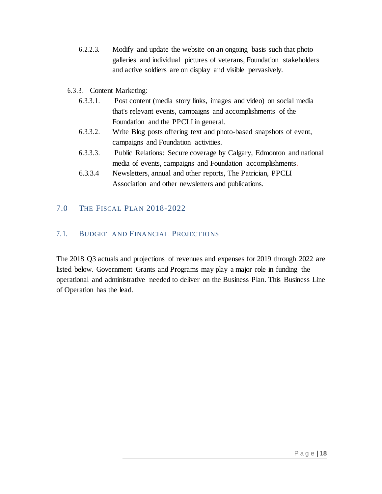- 6.2.2.3. Modify and update the website on an ongoing basis such that photo galleries and individual pictures of veterans, Foundation stakeholders and active soldiers are on display and visible pervasively.
- 6.3.3. Content Marketing:
	- 6.3.3.1. Post content (media story links, images and video) on social media that's relevant events, campaigns and accomplishments of the Foundation and the PPCLI in general.
	- 6.3.3.2. Write Blog posts offering text and photo-based snapshots of event, campaigns and Foundation activities.
	- 6.3.3.3. Public Relations: Secure coverage by Calgary, Edmonton and national media of events, campaigns and Foundation accomplishments.
	- 6.3.3.4 Newsletters, annual and other reports, The Patrician, PPCLI Association and other newsletters and publications.

## 7.0 THE FISCAL PLAN 2018-2022

## 7.1. BUDGET AND FINANCIAL PROJECTIONS

The 2018 Q3 actuals and projections of revenues and expenses for 2019 through 2022 are listed below. Government Grants and Programs may play a major role in funding the operational and administrative needed to deliver on the Business Plan. This Business Line of Operation has the lead.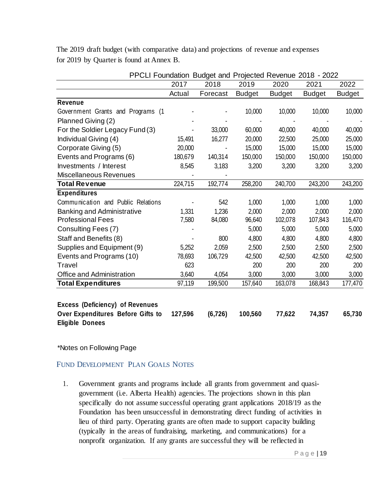The 2019 draft budget (with comparative data) and projections of revenue and expenses for 2019 by Quarter is found at Annex B.

| PPCLI Foundation Budget and Projected Revenue 2018 - 2022 |         |          |               |               |               |               |
|-----------------------------------------------------------|---------|----------|---------------|---------------|---------------|---------------|
|                                                           | 2017    | 2018     | 2019          | 2020          | 2021          | 2022          |
|                                                           | Actual  | Forecast | <b>Budget</b> | <b>Budget</b> | <b>Budget</b> | <b>Budget</b> |
| Revenue                                                   |         |          |               |               |               |               |
| Government Grants and Programs (1                         |         |          | 10,000        | 10,000        | 10,000        | 10,000        |
| Planned Giving (2)                                        |         |          |               |               |               |               |
| For the Soldier Legacy Fund (3)                           |         | 33,000   | 60,000        | 40,000        | 40,000        | 40,000        |
| Individual Giving (4)                                     | 15,491  | 16,277   | 20,000        | 22,500        | 25,000        | 25,000        |
| Corporate Giving (5)                                      | 20,000  |          | 15,000        | 15,000        | 15,000        | 15,000        |
| Events and Programs (6)                                   | 180,679 | 140,314  | 150,000       | 150,000       | 150,000       | 150,000       |
| Investments / Interest                                    | 8,545   | 3,183    | 3,200         | 3,200         | 3,200         | 3,200         |
| Miscellaneous Revenues                                    |         |          |               |               |               |               |
| <b>Total Revenue</b>                                      | 224,715 | 192,774  | 258,200       | 240,700       | 243,200       | 243,200       |
| <b>Expenditures</b>                                       |         |          |               |               |               |               |
| Communication and Public Relations                        |         | 542      | 1,000         | 1,000         | 1,000         | 1,000         |
| <b>Banking and Administrative</b>                         | 1,331   | 1,236    | 2,000         | 2,000         | 2,000         | 2,000         |
| <b>Professional Fees</b>                                  | 7,580   | 84,080   | 96,640        | 102,078       | 107,843       | 116,470       |
| Consulting Fees (7)                                       |         |          | 5,000         | 5,000         | 5,000         | 5,000         |
| Staff and Benefits (8)                                    |         | 800      | 4,800         | 4,800         | 4,800         | 4,800         |
| Supplies and Equipment (9)                                | 5,252   | 2,059    | 2,500         | 2,500         | 2,500         | 2,500         |
| Events and Programs (10)                                  | 78,693  | 106,729  | 42,500        | 42,500        | 42,500        | 42,500        |
| Travel                                                    | 623     |          | 200           | 200           | 200           | 200           |
| Office and Administration                                 | 3,640   | 4,054    | 3,000         | 3,000         | 3,000         | 3,000         |
| <b>Total Expenditures</b>                                 | 97,119  | 199,500  | 157,640       | 163,078       | 168,843       | 177,470       |
|                                                           |         |          |               |               |               |               |
| <b>Excess (Deficiency) of Revenues</b>                    |         |          |               |               |               |               |
| Over Expenditures Before Gifts to                         | 127,596 | (6, 726) | 100,560       | 77,622        | 74,357        | 65,730        |
| <b>Eligible Donees</b>                                    |         |          |               |               |               |               |

\*Notes on Following Page

FUND DEVELOPMENT PLAN GOALS NOTES

1. Government grants and programs include all grants from government and quasigovernment (i.e. Alberta Health) agencies. The projections shown in this plan specifically do not assume successful operating grant applications 2018/19 as the Foundation has been unsuccessful in demonstrating direct funding of activities in lieu of third party. Operating grants are often made to support capacity building (typically in the areas of fundraising, marketing, and communications) for a nonprofit organization. If any grants are successful they will be reflected in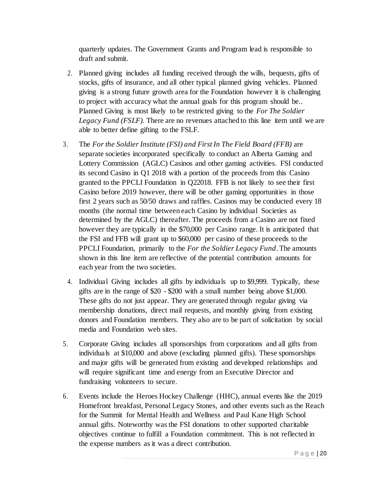quarterly updates. The Government Grants and Program lead is responsible to draft and submit.

- 2. Planned giving includes all funding received through the wills, bequests, gifts of stocks, gifts of insurance, and all other typical planned giving vehicles. Planned giving is a strong future growth area for the Foundation however it is challenging to project with accuracy what the annual goals for this program should be.. Planned Giving is most likely to be restricted giving to the *For The Soldier Legacy Fund (FSLF).* There are no revenues attached to this line item until we are able to better define gifting to the FSLF.
- 3. The *For the Soldier Institute (FSI) and First In The Field Board (FFB)* are separate societies incorporated specifically to conduct an Alberta Gaming and Lottery Commission (AGLC) Casinos and other gaming activities. FSI conducted its second Casino in Q1 2018 with a portion of the proceeds from this Casino granted to the PPCLI Foundation in Q22018. FFB is not likely to see their first Casino before 2019 however, there will be other gaming opportunities in those first 2 years such as 50/50 draws and raffles. Casinos may be conducted every 18 months (the normal time between each Casino by individual Societies as determined by the AGLC) thereafter. The proceeds from a Casino are not fixed however they are typically in the \$70,000 per Casino range. It is anticipated that the FSI and FFB will grant up to \$60,000 per casino of these proceeds to the PPCLI Foundation, primarily to the *For the Soldier Legacy Fund*. The amounts shown in this line item are reflective of the potential contribution amounts for each year from the two societies.
	- 4. Individual Giving includes all gifts by individuals up to \$9,999. Typically, these gifts are in the range of \$20 - \$200 with a small number being above \$1,000. These gifts do not just appear. They are generated through regular giving via membership donations, direct mail requests, and monthly giving from existing donors and Foundation members. They also are to be part of solicitation by social media and Foundation web sites.
- 5. Corporate Giving includes all sponsorships from corporations and all gifts from individuals at \$10,000 and above (excluding planned gifts). These sponsorships and major gifts will be generated from existing and developed relationships and will require significant time and energy from an Executive Director and fundraising volunteers to secure.
- 6. Events include the Heroes Hockey Challenge (HHC), annual events like the 2019 Homefront breakfast, Personal Legacy Stones, and other events such as the Reach for the Summit for Mental Health and Wellness and Paul Kane High School annual gifts. Noteworthy was the FSI donations to other supported charitable objectives continue to fulfill a Foundation commitment. This is not reflected in the expense numbers as it was a direct contribution.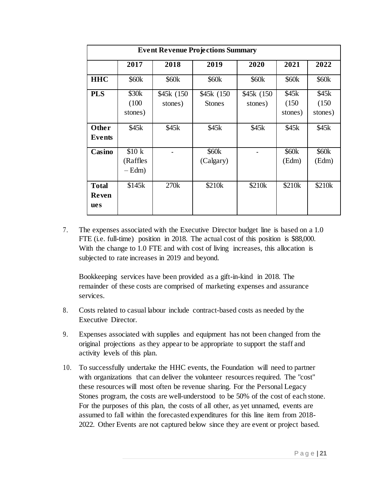|                                     | <b>Event Revenue Projections Summary</b> |                        |                                |                        |                            |                            |  |  |
|-------------------------------------|------------------------------------------|------------------------|--------------------------------|------------------------|----------------------------|----------------------------|--|--|
|                                     | 2017                                     | 2018                   | 2019                           | 2020                   | 2021                       | 2022                       |  |  |
| <b>HHC</b>                          | \$60 <sub>k</sub>                        | \$60k                  | \$60 <sub>k</sub>              | \$60 <sub>k</sub>      | \$60 <sub>k</sub>          | \$60 <sub>k</sub>          |  |  |
| <b>PLS</b>                          | \$30 <sub>k</sub><br>(100)               | \$45k (150)<br>stones) | \$45k (150)<br><b>Stones</b>   | \$45k (150)<br>stones) | \$45k<br>(150)             | \$45k<br>(150)             |  |  |
|                                     | stones)                                  |                        |                                |                        | stones)                    | stones)                    |  |  |
| Other<br>Events                     | \$45k                                    | \$45k                  | \$45k                          | \$45k                  | \$45k                      | \$45k                      |  |  |
| Casino                              | \$10 k<br>(Raffles<br>$-$ Edm $)$        |                        | \$60 <sub>k</sub><br>(Calgary) |                        | \$60 <sub>k</sub><br>(Edm) | \$60 <sub>k</sub><br>(Edm) |  |  |
| <b>Total</b><br><b>Reven</b><br>ues | \$145k                                   | 270k                   | \$210k                         | \$210k                 | \$210k                     | \$210k                     |  |  |

7. The expenses associated with the Executive Director budget line is based on a 1.0 FTE (i.e. full-time) position in 2018. The actual cost of this position is \$88,000. With the change to 1.0 FTE and with cost of living increases, this allocation is subjected to rate increases in 2019 and beyond.

Bookkeeping services have been provided as a gift-in-kind in 2018. The remainder of these costs are comprised of marketing expenses and assurance services.

- 8. Costs related to casual labour include contract-based costs as needed by the Executive Director.
- 9. Expenses associated with supplies and equipment has not been changed from the original projections as they appear to be appropriate to support the staff and activity levels of this plan.
- 10. To successfully undertake the HHC events, the Foundation will need to partner with organizations that can deliver the volunteer resources required. The "cost" these resources will most often be revenue sharing. For the Personal Legacy Stones program, the costs are well-understood to be 50% of the cost of each stone. For the purposes of this plan, the costs of all other, as yet unnamed, events are assumed to fall within the forecasted expenditures for this line item from 2018- 2022. Other Events are not captured below since they are event or project based.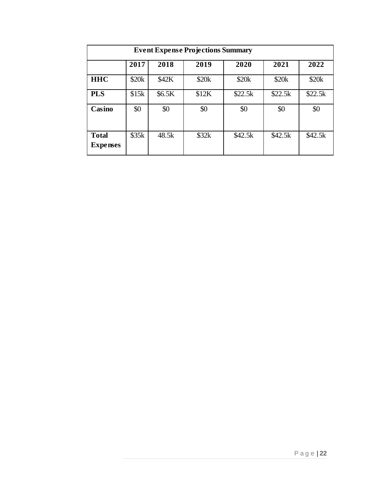|                                 | <b>Event Expense Projections Summary</b> |        |       |         |         |         |  |  |
|---------------------------------|------------------------------------------|--------|-------|---------|---------|---------|--|--|
|                                 | 2017                                     | 2018   | 2019  | 2020    | 2021    | 2022    |  |  |
| <b>HHC</b>                      | \$20k                                    | \$42K  | \$20k | \$20k   | \$20k   | \$20k   |  |  |
| <b>PLS</b>                      | \$15k                                    | \$6.5K | \$12K | \$22.5k | \$22.5k | \$22.5k |  |  |
| Casino                          | \$0                                      | \$0    | \$0   | \$0     | \$0     | \$0     |  |  |
| <b>Total</b><br><b>Expenses</b> | \$35k                                    | 48.5k  | \$32k | \$42.5k | \$42.5k | \$42.5k |  |  |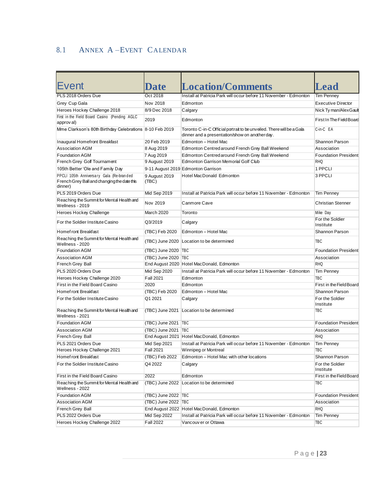# 8.1 ANNEX A –EVENT CALENDAR

| <b>Event</b>                                                                                       | <b>Date</b>            | <b>Location/Comments</b>                                                                                                | <b>Lead</b>                  |
|----------------------------------------------------------------------------------------------------|------------------------|-------------------------------------------------------------------------------------------------------------------------|------------------------------|
| PLS 2018 Orders Due                                                                                | Oct 2018               | Install at Patricia Park will occur before 11 November - Edmonton                                                       | <b>Tim Penney</b>            |
| Grey Cup Gala                                                                                      | Nov 2018               | Edmonton                                                                                                                | <b>Executive Director</b>    |
| Heroes Hockey Challenge 2018                                                                       | 8/9 Dec 2018           | Calgary                                                                                                                 | Nick Ty man/Alex Gault       |
| First in the Field Board Casino (Pending AGLC<br>approv al)                                        | 2019                   | Edmonton                                                                                                                | First In The Field Board     |
| Mme Clarkson's 80th Birthday Celebrations 8-10 Feb 2019                                            |                        | Toronto C-in-C Official portrait to be unveiled. There will be a Gala<br>dinner and a presentation/show on another day. | C-in-C EA                    |
| Inaugural Homefront Breakfast                                                                      | 20 Feb 2019            | Edmonton - Hotel Mac                                                                                                    | Shannon Parson               |
| <b>Association AGM</b>                                                                             | 8 Aug 2019             | Edmonton Centred around French Grey Ball Weekend                                                                        | Association                  |
| <b>Foundation AGM</b>                                                                              | 7 Aug 2019             | Edmonton Centredaround French Grey Ball Weekend                                                                         | <b>Foundation President</b>  |
| French Grey Golf Tournament                                                                        | 9 August 2019          | <b>Edmonton Garrison Memorial Golf Club</b>                                                                             | <b>RHQ</b>                   |
| 105th Better 'Ole and Family Day                                                                   |                        | 9-11 August 2019 Edmonton Garrison                                                                                      | 1 PPCLI                      |
| PPCLI 105th Anniversary Gala (Re-branded<br>French Grey Ball and changing the date this<br>dinner) | 9 August 2019<br>(TBC) | <b>Hotel MacDonald Edmonton</b>                                                                                         | 3 PPCLI                      |
| PLS 2019 Orders Due                                                                                | Mid Sep 2019           | Install at Patricia Park will occur before 11 November - Edmonton                                                       | <b>Tim Penney</b>            |
| Reaching the Summit for Mental Health and<br>Wellness - 2019                                       | Nov 2019               | Canmore Cave                                                                                                            | <b>Christian Stenner</b>     |
| Heroes Hockey Challenge                                                                            | <b>March 2020</b>      | Toronto                                                                                                                 | Mike Day                     |
| For the Soldier Institute Casino                                                                   | Q3/2019                | Calgary                                                                                                                 | For the Soldier<br>Institute |
| Homef ront Breakfast                                                                               | (TBC) Feb 2020         | Edmonton - Hotel Mac                                                                                                    | <b>Shannon Parson</b>        |
| Reaching the Summit for Mental Health and<br>Wellness - 2020                                       | (TBC) June 2020        | Location to be determined                                                                                               | TBC                          |
| <b>Foundation AGM</b>                                                                              | (TBC) June 2020 TBC    |                                                                                                                         | <b>Foundation President</b>  |
| <b>Association AGM</b>                                                                             | (TBC) June 2020   TBC  |                                                                                                                         | Association                  |
| French Grey Ball                                                                                   |                        | End August 2020 Hotel MacDonald, Edmonton                                                                               | <b>RHQ</b>                   |
| PLS 2020 Orders Due                                                                                | Mid Sep 2020           | Install at Patricia Park will occur before 11 November - Edmonton                                                       | <b>Tim Penney</b>            |
| Heroes Hockey Challenge 2020                                                                       | <b>Fall 2021</b>       | Edmonton                                                                                                                | <b>TBC</b>                   |
| First in the Field Board Casino                                                                    | 2020                   | Edmonton                                                                                                                | First in the Field Board     |
| Homef ront Breakfast                                                                               | (TBC) Feb 2020         | Edmonton - Hotel Mac                                                                                                    | Shannon Parson               |
| For the Soldier Institute Casino                                                                   | Q1 2021                | Calgary                                                                                                                 | For the Soldier<br>Institute |
| Reaching the Summit for Mental Health and<br>Wellness - 2021                                       | (TBC) June 2021        | Location to be determined                                                                                               | <b>TBC</b>                   |
| <b>Foundation AGM</b>                                                                              | (TBC) June 2021        | <b>TBC</b>                                                                                                              | <b>Foundation President</b>  |
| <b>Association AGM</b>                                                                             | (TBC) June 2021   TBC  |                                                                                                                         | Association                  |
| French Grey Ball                                                                                   |                        | End August 2021 Hotel MacDonald, Edmonton                                                                               | <b>RHQ</b>                   |
| PLS 2021 Orders Due                                                                                | Mid Sep 2021           | Install at Patricia Park will occur before 11 November - Edmonton                                                       | <b>Tim Penney</b>            |
| Heroes Hockey Challenge 2021                                                                       | <b>Fall 2021</b>       | Winnipeg or Montreal                                                                                                    | <b>TBC</b>                   |
| Homef ront Breakfast                                                                               | (TBC) Feb 2022         | Edmonton - Hotel Mac with other locations                                                                               | Shannon Parson               |
| For the Soldier Institute Casino                                                                   | Q4 2022                | Calgary                                                                                                                 | For the Soldier<br>Institute |
| First in the Field Board Casino                                                                    | 2022                   | Edmonton                                                                                                                | First in the Field Board     |
| Reaching the Summit for Mental Health and<br>Wellness - 2022                                       |                        | (TBC) June 2022 Location to be determined                                                                               | TBC                          |
| <b>Foundation AGM</b>                                                                              | (TBC) June 2022   TBC  |                                                                                                                         | <b>Foundation President</b>  |
| <b>Association AGM</b>                                                                             | (TBC) June 2022 TBC    |                                                                                                                         | Association                  |
| French Grey Ball                                                                                   |                        | End August 2022 Hotel MacDonald, Edmonton                                                                               | <b>RHQ</b>                   |
| PLS 2022 Orders Due                                                                                | Mid Sep 2022           | Install at Patricia Park will occur before 11 November - Edmonton                                                       | <b>Tim Penney</b>            |
| Heroes Hockey Challenge 2022                                                                       | <b>Fall 2022</b>       | Vancouv er or Ottawa                                                                                                    | TBC                          |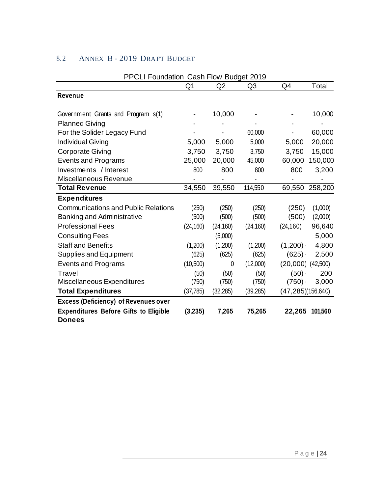| PPCLI Foundation Cash Flow Budget 2019       |                |           |                |                       |                   |
|----------------------------------------------|----------------|-----------|----------------|-----------------------|-------------------|
|                                              | Q <sub>1</sub> | Q2        | Q <sub>3</sub> | Q4                    | Total             |
| Revenue                                      |                |           |                |                       |                   |
|                                              |                |           |                |                       |                   |
| Government Grants and Program s(1)           |                | 10,000    |                |                       | 10,000            |
| <b>Planned Giving</b>                        |                |           |                |                       |                   |
| For the Solider Legacy Fund                  |                |           | 60,000         |                       | 60,000            |
| <b>Individual Giving</b>                     | 5,000          | 5,000     | 5,000          | 5,000                 | 20,000            |
| <b>Corporate Giving</b>                      | 3,750          | 3,750     | 3,750          | 3,750                 | 15,000            |
| <b>Events and Programs</b>                   | 25,000         | 20,000    | 45,000         | 60,000                | 150,000           |
| Investments / Interest                       | 800            | 800       | 800            | 800                   | 3,200             |
| Miscellaneous Revenue                        |                |           |                |                       |                   |
| <b>Total Revenue</b>                         | 34,550         | 39,550    | 114,550        | 69,550                | 258,200           |
| <b>Expenditures</b>                          |                |           |                |                       |                   |
| <b>Communications and Public Relations</b>   | (250)          | (250)     | (250)          | (250)                 | (1,000)           |
| <b>Banking and Administrative</b>            | (500)          | (500)     | (500)          | (500)                 | (2,000)           |
| <b>Professional Fees</b>                     | (24, 160)      | (24, 160) | (24, 160)      | (24, 160)             | 96,640            |
| <b>Consulting Fees</b>                       |                | (5,000)   |                |                       | 5,000             |
| <b>Staff and Benefits</b>                    | (1,200)        | (1,200)   | (1,200)        | $(1,200)$ .           | 4,800             |
| <b>Supplies and Equipment</b>                | (625)          | (625)     | (625)          | (625)                 | 2,500             |
| <b>Events and Programs</b>                   | (10,500)       | 0         | (12,000)       | $(20,000)$ $(42,500)$ |                   |
| Travel                                       | (50)           | (50)      | (50)           | $(50)$ .              | 200               |
| Miscellaneous Expenditures                   | (750)          | (750)     | (750)          | (750)                 | 3,000             |
| <b>Total Expenditures</b>                    | (37,785)       | (32, 285) | (39, 285)      |                       | (47,285)(156,640) |
| <b>Excess (Deficiency) of Revenues over</b>  |                |           |                |                       |                   |
| <b>Expenditures Before Gifts to Eligible</b> | (3,235)        | 7,265     | 75,265         | 22,265                | 101,560           |
| <b>Donees</b>                                |                |           |                |                       |                   |

## 8.2 ANNEX B - 2019 DRAFT BUDGET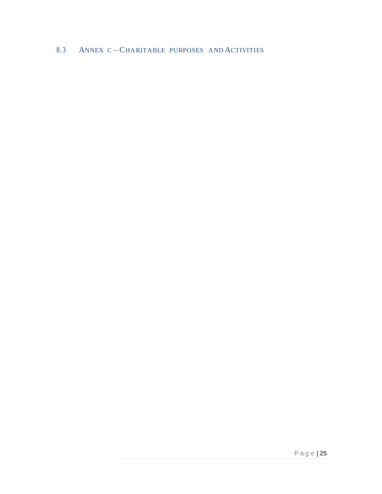## 8.3 ANNEX C-CHARITABLE PURPOSES AND ACTIVITIES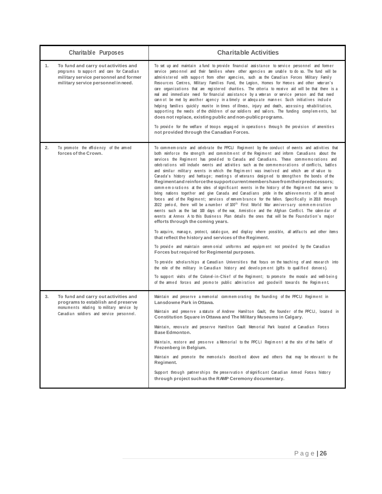| <b>Charitable Purposes</b>                                                                                                                                                | <b>Charitable Activities</b>                                                                                                                                                                                                                                                                                                                                                                                                                                                                                                                                                                                                                                                                                                                                                                                                                                                                                                                                                                                                                                                                                                                                                                                                                                                                                                                                                                                                                                                                                                                                                                                                                                                                                                                                                                                                                                                                                                                                                                                                |
|---------------------------------------------------------------------------------------------------------------------------------------------------------------------------|-----------------------------------------------------------------------------------------------------------------------------------------------------------------------------------------------------------------------------------------------------------------------------------------------------------------------------------------------------------------------------------------------------------------------------------------------------------------------------------------------------------------------------------------------------------------------------------------------------------------------------------------------------------------------------------------------------------------------------------------------------------------------------------------------------------------------------------------------------------------------------------------------------------------------------------------------------------------------------------------------------------------------------------------------------------------------------------------------------------------------------------------------------------------------------------------------------------------------------------------------------------------------------------------------------------------------------------------------------------------------------------------------------------------------------------------------------------------------------------------------------------------------------------------------------------------------------------------------------------------------------------------------------------------------------------------------------------------------------------------------------------------------------------------------------------------------------------------------------------------------------------------------------------------------------------------------------------------------------------------------------------------------------|
| 1.<br>To fund and carry out activities and<br>programs to support and care for Canadian<br>military service personnel and former<br>military service personnel in need.   | To set up and maintain a fund to provide financial assistance to service personnel and former<br>service personnel and their families where other agencies are unable to do so. The fund will be<br>administered with support from other agencies, such as the Canadian Forces Military Family<br>Resources Centres, Military Families Fund, the Legion, Homes for Heroes and other veteran's<br>care organizations that are registered charities. The criteria to receive aid will be that there is a<br>real and immediate need for financial assistance by a veteran or service person and that need<br>cannot be met by another agency in a timely or adequate manner. Such initiatives include<br>helping families quickly reunite in times of illness, injury and death, accessing rehabilitation,<br>supporting the needs of the children of our soldiers and sailors. The funding complements, but<br>does not replace, existing public and non-public programs.<br>To provide for the welfare of troops engaged in operations through the provision of amenities<br>not provided through the Canadian Forces.                                                                                                                                                                                                                                                                                                                                                                                                                                                                                                                                                                                                                                                                                                                                                                                                                                                                                                      |
| 2.<br>To promote the efficiency of the armed<br>forces of the Crown.                                                                                                      | To commemorate and celebrate the PPCLI Regiment by the conduct of events and activities that<br>both reinforce the strength and commitment of the Regiment and inform Canadians about the<br>services the Regiment has provided to Canada and Canadians. These commemorations and<br>celebrations will include events and activities such as the commemorations of conflicts, battles<br>and similar military events in which the Regiment was involved and which are of value to<br>Canada's history and heritage; meetings of veterans designed to strengthen the bonds of the<br>Regiment and reinforce the support current members have from their predecessors;<br>commemorations at the sites of significant events in the history of the Regiment that serve to<br>bring nations together and give Canada and Canadians pride in the achievements of its armed<br>forces and of the Regiment; services of remembrance for the fallen. Specifically in 2018 through<br>2022 period, there will be anumber of 100 <sup>th</sup> First World War anniversary commemoration<br>events such as the last 100 days of the war, Armistice and the Afghan Conflict. The calendar of<br>events at Annex A to this Business Plan details the ones that will be the Foundation's major<br>efforts through the coming years.<br>To acquire, manage, protect, catalogue, and display where possible, all artifacts and other items<br>that reflect the history and services of the Regiment.<br>To provide and maintain ceremonial uniforms and equipment not provided by the Canadian<br>Forces but required for Regimental purposes.<br>To provide scholarships at Canadian Universities that focus on the teaching of and research into<br>the role of the military in Canadian history and development (gifts to qualified donees).<br>To support visits of the Colonel-in-Chief of the Regiment; to promote the morale and well-being<br>of the armed forces and promote public admiration and goodwill towards the Regiment. |
| 3.<br>To fund and carry out activities and<br>programs to establish and preserve<br>monuments relating to military service by<br>Canadian soldiers and service personnel. | Maintain and preserve a memorial commemorating the founding of the PPCLI Regiment in<br>Lansdowne Park in Ottawa.<br>Maintain and preserve a statute of Andrew Hamilton Gault, the founder of the PPCLI, located in<br>Constitution Square in Ottawa and The Military Museums in Calgary.<br>Maintain, renovate and preserve Hamilton Gault Memorial Park located at Canadian Forces<br><b>Base Edmonton.</b><br>Maintain, restore and preserve a Memorial to the PPCLI Regiment at the site of the battle of<br>Frezenberg in Belgium.<br>Maintain and promote the memorials described above and others that may be relevant to the<br>Regiment.<br>Support through partnerships the preservation of significant Canadian Armed Forces history<br>through project such as the RAMP Ceremony documentary.                                                                                                                                                                                                                                                                                                                                                                                                                                                                                                                                                                                                                                                                                                                                                                                                                                                                                                                                                                                                                                                                                                                                                                                                                   |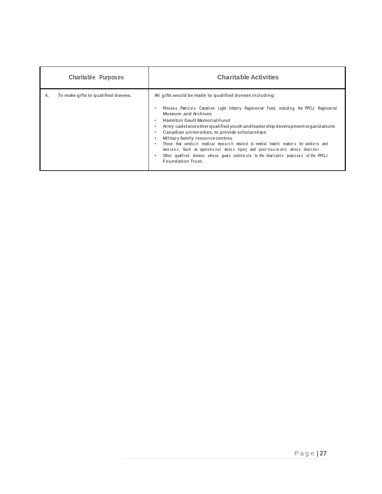|    | <b>Charitable Purposes</b>         | <b>Charitable Activities</b>                                                                                                                                                                                                                                                                                                                                                                                                                                                                                                                                                                                                                                                                                        |
|----|------------------------------------|---------------------------------------------------------------------------------------------------------------------------------------------------------------------------------------------------------------------------------------------------------------------------------------------------------------------------------------------------------------------------------------------------------------------------------------------------------------------------------------------------------------------------------------------------------------------------------------------------------------------------------------------------------------------------------------------------------------------|
| 4. | To make gifts to qualified donees. | All gifts would be made to qualified donees including:<br>Princess Patricia's Canadian Light Infantry Regimental Fund, including the PPCLI Regimental<br>Museum and Archives<br><b>Hamilton Gault Memorial Fund</b><br>٠<br>Army cadet and other qualified youth and leadership development organizations<br>٠<br>Canadian universities, to provide scholarships<br>٠<br>Military family resource centres<br>٠<br>Those that conduct medical research related to mental health matters for soldiers and<br>veterans. Such as operational stress injury and post-traumatic stress disorder<br>Other qualified donees whose goals contribute to the charitable purposes of the PPCLI<br>٠<br><b>Foundation Trust.</b> |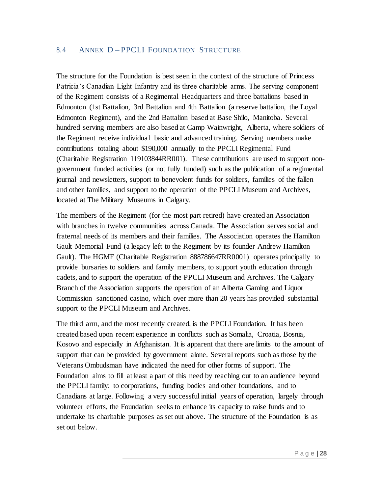#### 8.4 ANNEX D – PPCLI FOUNDATION STRUCTURE

The structure for the Foundation is best seen in the context of the structure of Princess Patricia's Canadian Light Infantry and its three charitable arms. The serving component of the Regiment consists of a Regimental Headquarters and three battalions based in Edmonton (1st Battalion, 3rd Battalion and 4th Battalion (a reserve battalion, the Loyal Edmonton Regiment), and the 2nd Battalion based at Base Shilo, Manitoba. Several hundred serving members are also based at Camp Wainwright, Alberta, where soldiers of the Regiment receive individual basic and advanced training. Serving members make contributions totaling about \$190,000 annually to the PPCLI Regimental Fund (Charitable Registration 119103844RR001). These contributions are used to support nongovernment funded activities (or not fully funded) such as the publication of a regimental journal and newsletters, support to benevolent funds for soldiers, families of the fallen and other families, and support to the operation of the PPCLI Museum and Archives, located at The Military Museums in Calgary.

The members of the Regiment (for the most part retired) have created an Association with branches in twelve communities across Canada. The Association serves social and fraternal needs of its members and their families. The Association operates the Hamilton Gault Memorial Fund (a legacy left to the Regiment by its founder Andrew Hamilton Gault). The HGMF (Charitable Registration 888786647RR0001) operates principally to provide bursaries to soldiers and family members, to support youth education through cadets, and to support the operation of the PPCLI Museum and Archives. The Calgary Branch of the Association supports the operation of an Alberta Gaming and Liquor Commission sanctioned casino, which over more than 20 years has provided substantial support to the PPCLI Museum and Archives.

The third arm, and the most recently created, is the PPCLI Foundation. It has been created based upon recent experience in conflicts such as Somalia, Croatia, Bosnia, Kosovo and especially in Afghanistan. It is apparent that there are limits to the amount of support that can be provided by government alone. Several reports such as those by the Veterans Ombudsman have indicated the need for other forms of support. The Foundation aims to fill at least a part of this need by reaching out to an audience beyond the PPCLI family: to corporations, funding bodies and other foundations, and to Canadians at large. Following a very successful initial years of operation, largely through volunteer efforts, the Foundation seeks to enhance its capacity to raise funds and to undertake its charitable purposes as set out above. The structure of the Foundation is as set out below.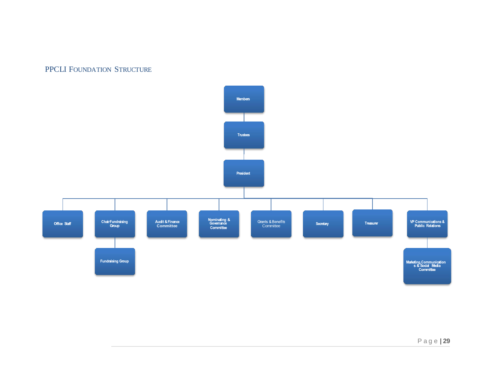## PPCLI FOUNDATION STRUCTURE

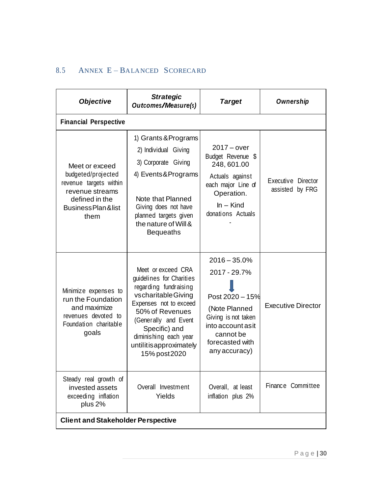## 8.5 ANNEX E – BALANCED SCORECARD

| <b>Objective</b>                                                                                                                    | <b>Strategic</b><br>Outcomes/Measure(s)                                                                                                                                                                                                                  | <b>Target</b>                                                                                                                                                    | Ownership                             |
|-------------------------------------------------------------------------------------------------------------------------------------|----------------------------------------------------------------------------------------------------------------------------------------------------------------------------------------------------------------------------------------------------------|------------------------------------------------------------------------------------------------------------------------------------------------------------------|---------------------------------------|
| <b>Financial Perspective</b>                                                                                                        |                                                                                                                                                                                                                                                          |                                                                                                                                                                  |                                       |
| Meet or exceed<br>budgeted/projected<br>revenue targets within<br>revenue streams<br>defined in the<br>Business Plan & list<br>them | 1) Grants & Programs<br>2) Individual Giving<br>3) Corporate Giving<br>4) Events & Programs<br>Note that Planned<br>Giving does not have<br>planned targets given<br>the nature of Will &<br><b>Bequeaths</b>                                            | $2017 - over$<br>Budget Revenue \$<br>248, 601.00<br>Actuals against<br>each major Line of<br>Operation.<br>$In - Kind$<br>donations Actuals                     | Executive Director<br>assisted by FRG |
| Minimize expenses to<br>run the Foundation<br>and maximize<br>revenues devoted to<br>Foundation charitable<br>goals                 | Meet or exceed CRA<br>guidelines for Charities<br>regarding fundraising<br>vscharitable Giving<br>Expenses not to exceed<br>50% of Revenues<br>(Generally and Event<br>Specific) and<br>diminishing each year<br>untilitisapproximately<br>15% post 2020 | $2016 - 35.0%$<br>2017 - 29.7%<br>Post 2020 - 15%<br>(Note Planned<br>Giving is not taken<br>into account as it<br>cannot be<br>forecasted with<br>any accuracy) | <b>Executive Director</b>             |
| Steady real growth of<br>invested assets<br>exceeding inflation<br>plus 2%                                                          | Overall Investment<br>Yields                                                                                                                                                                                                                             | Overall, at least<br>inflation plus 2%                                                                                                                           | Finance Committee                     |
| <b>Client and Stakeholder Perspective</b>                                                                                           |                                                                                                                                                                                                                                                          |                                                                                                                                                                  |                                       |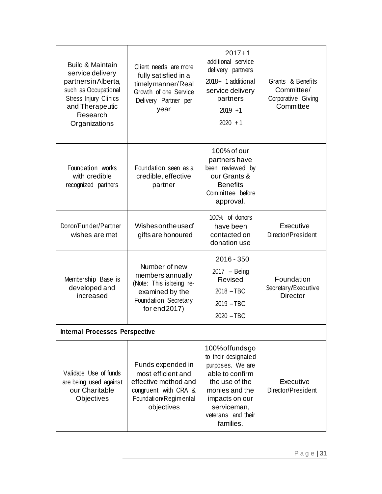| <b>Build &amp; Maintain</b><br>service delivery<br>partners in Alberta,<br>such as Occupational<br><b>Stress Injury Clinics</b><br>and Therapeutic<br>Research<br>Organizations | Client needs are more<br>fully satisfied in a<br>timely manner/Real<br>Growth of one Service<br>Delivery Partner per<br>year   | $2017 + 1$<br>additional service<br>delivery partners<br>2018+ 1 additional<br>service delivery<br>partners<br>$2019 + 1$<br>$2020 + 1$                                                | Grants & Benefits<br>Committee/<br>Corporative Giving<br>Committee |
|---------------------------------------------------------------------------------------------------------------------------------------------------------------------------------|--------------------------------------------------------------------------------------------------------------------------------|----------------------------------------------------------------------------------------------------------------------------------------------------------------------------------------|--------------------------------------------------------------------|
| Foundation works<br>with credible<br>recognized partners                                                                                                                        | Foundation seen as a<br>credible, effective<br>partner                                                                         | 100% of our<br>partners have<br>been reviewed by<br>our Grants &<br><b>Benefits</b><br>Committee before<br>approval.                                                                   |                                                                    |
| Donor/Funder/Partner<br>wishes are met                                                                                                                                          | Wishesontheused<br>gifts are honoured                                                                                          | 100% of donors<br>have been<br>contacted on<br>donation use                                                                                                                            | Executive<br>Director/President                                    |
| Membership Base is<br>developed and<br>increased                                                                                                                                | Number of new<br>members annually<br>(Note: This is being re-<br>examined by the<br>Foundation Secretary<br>for $end2017$ )    | $2016 - 350$<br>$2017 - Being$<br>Revised<br>$2018 - TBC$<br>$2019 - TBC$<br>$2020 - TBC$                                                                                              | Foundation<br>Secretary/Executive<br><b>Director</b>               |
| <b>Internal Processes Perspective</b>                                                                                                                                           |                                                                                                                                |                                                                                                                                                                                        |                                                                    |
| Validate Use of funds<br>are being used against<br>our Charitable<br><b>Objectives</b>                                                                                          | Funds expended in<br>most efficient and<br>effective method and<br>congruent with CRA &<br>Foundation/Regimental<br>objectives | 100% of funds go<br>to their designated<br>purposes. We are<br>able to confirm<br>the use of the<br>monies and the<br>impacts on our<br>serviceman,<br>veterans and their<br>families. | Executive<br>Director/President                                    |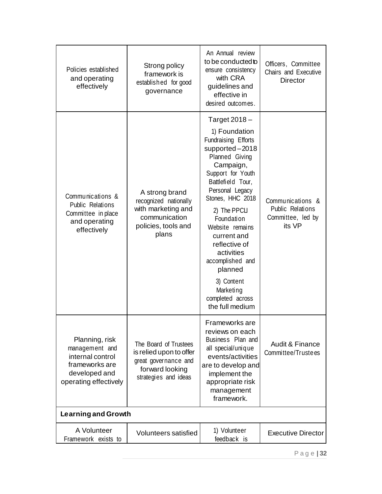| Policies established<br>and operating<br>effectively                                                             | Strong policy<br>framework is<br>established for good<br>governance                                                 | An Annual review<br>to be conducted to<br>ensure consistency<br>with CRA<br>guidelines and<br>effective in<br>desired outcomes.                                                                                                                                                                                                                                                           | Officers, Committee<br>Chairs and Executive<br><b>Director</b>      |
|------------------------------------------------------------------------------------------------------------------|---------------------------------------------------------------------------------------------------------------------|-------------------------------------------------------------------------------------------------------------------------------------------------------------------------------------------------------------------------------------------------------------------------------------------------------------------------------------------------------------------------------------------|---------------------------------------------------------------------|
| Communications &<br>Public Relations<br>Committee in place<br>and operating<br>effectively                       | A strong brand<br>recognized nationally<br>with marketing and<br>communication<br>policies, tools and<br>plans      | Target $2018 -$<br>1) Foundation<br>Fundraising Efforts<br>supported-2018<br>Planned Giving<br>Campaign,<br>Support for Youth<br>Battlefield Tour,<br>Personal Legacy<br>Stones, HHC 2018<br>2) The PPCLI<br>Foundation<br>Website remains<br>current and<br>reflective of<br>activities<br>accomplished and<br>planned<br>3) Content<br>Marketing<br>completed across<br>the full medium | Communications &<br>Public Relations<br>Committee, led by<br>its VP |
| Planning, risk<br>management and<br>internal control<br>frameworks are<br>developed and<br>operating effectively | The Board of Trustees<br>is relied upon to offer<br>great governance and<br>forward looking<br>strategies and ideas | Frameworks are<br>reviews on each<br>Business Plan and<br>all special/unique<br>events/activities<br>are to develop and<br>implement the<br>appropriate risk<br>management<br>framework.                                                                                                                                                                                                  | <b>Audit &amp; Finance</b><br>Committee/Trustees                    |
| Learning and Growth                                                                                              |                                                                                                                     |                                                                                                                                                                                                                                                                                                                                                                                           |                                                                     |
| A Volunteer<br>Framework exists to                                                                               | Volunteers satisfied                                                                                                | 1) Volunteer<br>feedback is                                                                                                                                                                                                                                                                                                                                                               | <b>Executive Director</b>                                           |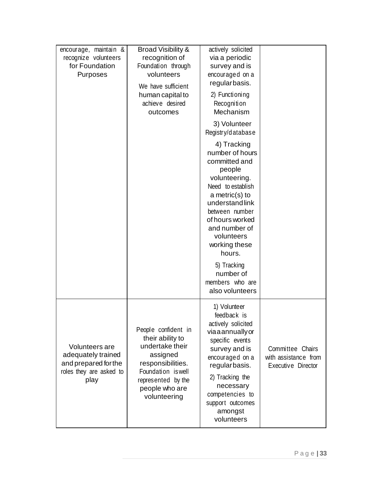| encourage, maintain &<br>recognize volunteers<br>for Foundation<br>Purposes                     | <b>Broad Visibility &amp;</b><br>recognition of<br>Foundation through<br>volunteers<br>We have sufficient<br>human capital to<br>achieve desired<br>outcomes              | actively solicited<br>via a periodic<br>survey and is<br>encouraged on a<br>regularbasis.<br>2) Functioning<br>Recognition<br>Mechanism                                                                                                                                                                                                     |                                                                |
|-------------------------------------------------------------------------------------------------|---------------------------------------------------------------------------------------------------------------------------------------------------------------------------|---------------------------------------------------------------------------------------------------------------------------------------------------------------------------------------------------------------------------------------------------------------------------------------------------------------------------------------------|----------------------------------------------------------------|
|                                                                                                 |                                                                                                                                                                           | 3) Volunteer<br>Registry/database<br>4) Tracking<br>number of hours<br>committed and<br>people<br>volunteering.<br>Need to establish<br>$a$ metric(s) to<br>understandlink<br>between number<br>of hours worked<br>and number of<br>volunteers<br>working these<br>hours.<br>5) Tracking<br>number of<br>members who are<br>also volunteers |                                                                |
| Volunteers are<br>adequately trained<br>and prepared for the<br>roles they are asked to<br>play | People confident in<br>their ability to<br>undertake their<br>assigned<br>responsibilities.<br>Foundation is well<br>represented by the<br>people who are<br>volunteering | 1) Volunteer<br>feedback is<br>actively solicited<br>viaaannuallyor<br>specific events<br>survey and is<br>encouraged on a<br>regularbasis.<br>2) Tracking the<br>necessary<br>competencies to<br>support outcomes<br>amongst<br>volunteers                                                                                                 | Committee Chairs<br>with assistance from<br>Executive Director |